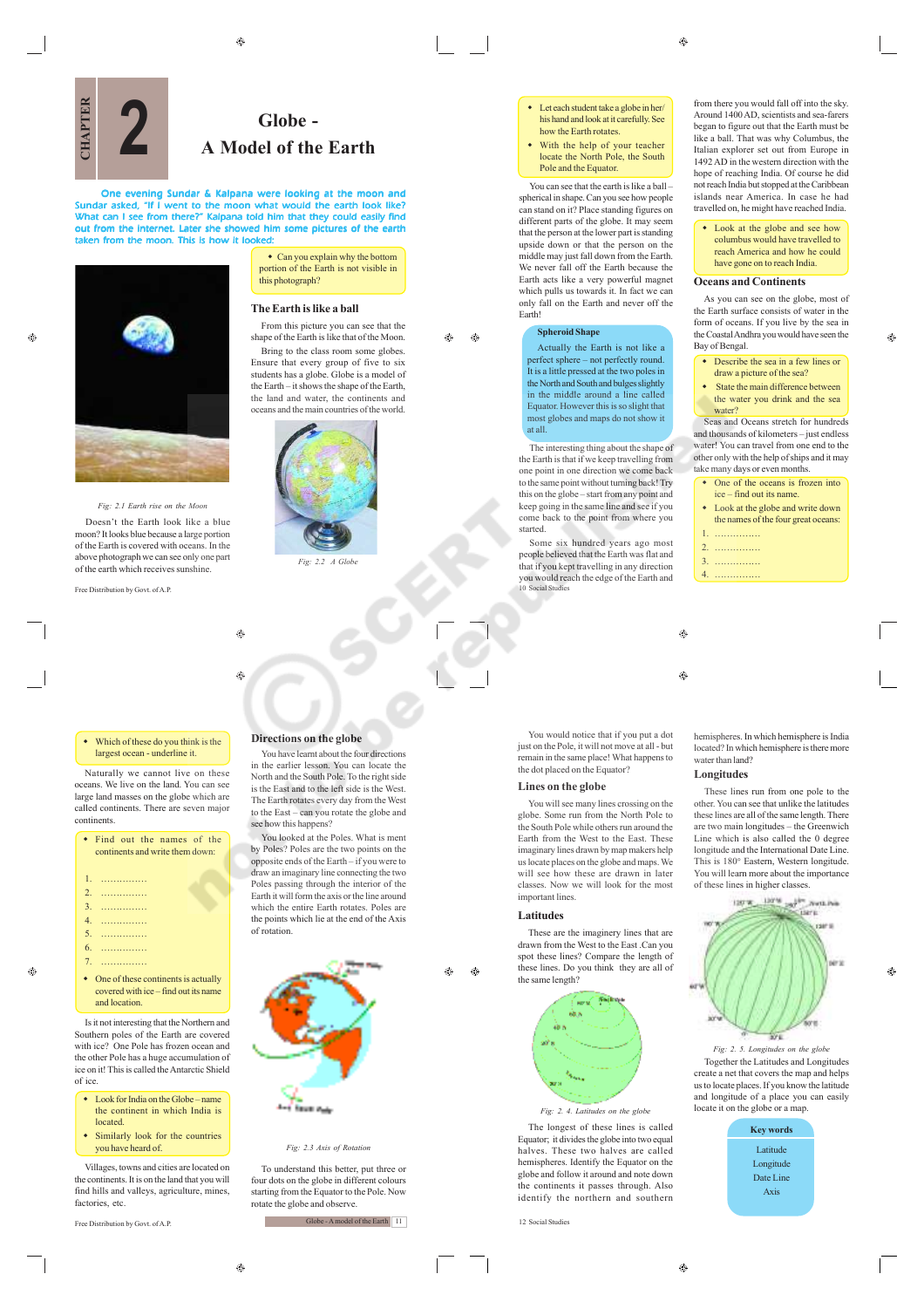$\bigoplus$ 

ക  $\bigoplus$ 

**Globe - 2 A Model of the Earth**

One evening Sundar & Kalpana were looking at the moon and<br>Sundar asked, "If I went to the moon what would the earth look like?<br>What can I see from there?" Kalpana told him that they could easily find<br>out from the internet. *taken from the moon. This is how it looked:*

 $\qquad \qquad \textcircled{\scriptsize{9}}$ 

⊕

 Can you explain why the bottom portion of the Earth is not visible in this photograph?

### **The Earth is like a ball**

From this picture you can see that the shape of the Earth is like that of the Moon. Bring to the class room some globes. Ensure that every group of five to six students has a globe. Globe is a model of the Earth – it shows the shape of the Earth, the land and water, the continents and oceans and the main countries of the world.



*Fig: 2.2 A Glob* 

#### Which of these do you think is the largest ocean - underline it.

Free Distribution by Govt. of A.P.

*Fig: 2.1 Earth rise on the Moon* Doesn't the Earth look like a blue moon? It looks blue because a large portion of the Earth is covered with oceans. In the above photograph we can see only one part of the earth which receives sunshine.

Naturally we cannot live on these oceans. We live on the land. You can see large land masses on the globe which are called continents. There are seven major continents.

|  |  | • Find out the names of the     |  |
|--|--|---------------------------------|--|
|  |  | continents and write them down: |  |
|  |  |                                 |  |
|  |  |                                 |  |
|  |  |                                 |  |
|  |  |                                 |  |
|  |  |                                 |  |
|  |  |                                 |  |
|  |  |                                 |  |
|  |  |                                 |  |

• One of these continents is actually covered with ice – find out its name and location.

7. ……………

Is it not interesting that the Northern and Southern poles of the Earth are covered with ice? One Pole has frozen ocean and the other Pole has a huge accumulation of ice on it! This is called the Antarctic Shield of ice.

- Look for India on the Globe name the continent in which India is located.
- Similarly look for the countries you have heard of.

Villages, towns and cities are located on the continents. It is on the land that you will find hills and valleys, agriculture, mines, factories, etc.

 $^{\circ}$ 

Free Distribution by Govt. of A.P.



You have learnt about the four directions in the earlier lesson. You can locate the North and the South Pole. To the right side is the East and to the left side is the West. The Earth rotates every day from the West to the East – can you rotate the globe and see how this happens?

You looked at the Poles. What is ment by Poles? Poles are the two points on the opposite ends of the Earth – if you were to draw an imaginary line connecting the two Poles passing through the interior of the Earth it will form the axis or the line around which the entire Earth rotates. Poles are the points which lie at the end of the Axis of rotation.



*Fig: 2.3 Axis of Rotation*

To understand this better, put three or four dots on the globe in different colours starting from the Equator to the Pole. Now rotate the globe and observe.

Globe - A model of the Earth 11

- ◆ Let each student take a globe in her/ his hand and look at it carefully. See how the Earth rotates
- With the help of your teacher locate the North Pole, the South Pole and the Equator.

You can see that the earth is like a ball – spherical in shape. Can you see how people can stand on it? Place standing figures on different parts of the globe. It may seem that the person at the lower part is standing upside down or that the person on the middle may just fall down from the Earth. We never fall off the Earth because the Earth acts like a very powerful magnet which pulls us towards it. In fact we can only fall on the Earth and never off the Earth!

# **Spheroid Shape**

Actually the Earth is not like a perfect sphere – not perfectly round. It is a little pressed at the two poles in the North and South and bulges slightly in the middle around a line called Equator. However this is so slight that most globes and maps do not show it at all.

The interesting thing about the shape of the Earth is that if we keep travelling from one point in one direction we come back to the same point without turning back! Try this on the globe – start from any point and keep going in the same line and see if you come back to the point from where you started.

Some six hundred years ago most people believed that the Earth was flat and that if you kept travelling in any direction you would reach the edge of the Earth and 10 Social Studies

 $\bigcirc$ 

# $\bigcirc$

You would notice that if you put a dot just on the Pole, it will not move at all - but remain in the same place! What happens to the dot placed on the Equator?

# **Lines on the globe**

You will see many lines crossing on the globe. Some run from the North Pole to the South Pole while others run around the Earth from the West to the East. These imaginary lines drawn by map makers help us locate places on the globe and maps. We will see how these are drawn in later classes. Now we will look for the most important lines.

#### **Latitudes**

Æ۵ ⊕

These are the imaginery lines that are drawn from the West to the East .Can you spot these lines? Compare the length of these lines. Do you think they are all of the same length?



*Fig: 2. 4. Latitudes on the globe*

The longest of these lines is called Equator; it divides the globe into two equal halves. These two halves are called hemispheres. Identify the Equator on the globe and follow it around and note down the continents it passes through. Also identify the northern and southern

12 Social Studies

from there you would fall off into the sky. Around 1400 AD, scientists and sea-farers began to figure out that the Earth must be like a ball. That was why Columbus, the Italian explorer set out from Europe in 1492 AD in the western direction with the hope of reaching India. Of course he did not reach India but stopped at the Caribbean islands near America. In case he had travelled on, he might have reached India.

 Look at the globe and see how columbus would have travelled to reach America and how he could have gone on to reach India.

#### **Oceans and Continents**

As you can see on the globe, most of the Earth surface consists of water in the form of oceans. If you live by the sea in the Coastal Andhra you would have seen the Bay of Bengal.

A

- Describe the sea in a few lines or draw a picture of the sea?
- State the main difference between the water you drink and the sea water?

Seas and Oceans stretch for hundreds and thousands of kilometers – just endless water! You can travel from one end to the other only with the help of ships and it may take many days or even months.

- One of the oceans is frozen into ice – find out its name.
- Look at the globe and write down the names of the four great oceans:
- 1. ……………
- 2. ……………
- 3. ……………
- 4. ……………

hemispheres. In which hemisphere is India located? In which hemisphere is there more water than land?

### **Longitudes**

These lines run from one pole to the other. You can see that unlike the latitudes these lines are all of the same length. There are two main longitudes – the Greenwich Line which is also called the 0 degree longitude and the International Date Line. This is 180° Eastern, Western longitude. You will learn more about the importance of these lines in higher classes.



♠

*Fig: 2. 5. Longitudes on the globe* Together the Latitudes and Longitudes create a net that covers the map and helps us to locate places. If you know the latitude and longitude of a place you can easily locate it on the globe or a map.





**CHAPTER**

æ